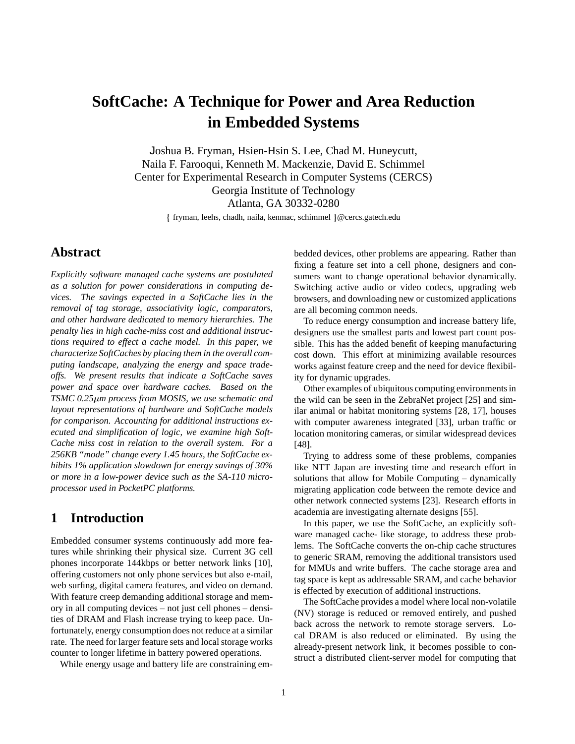# **SoftCache: A Technique for Power and Area Reduction in Embedded Systems**

Joshua B. Fryman, Hsien-Hsin S. Lee, Chad M. Huneycutt, Naila F. Farooqui, Kenneth M. Mackenzie, David E. Schimmel Center for Experimental Research in Computer Systems (CERCS) Georgia Institute of Technology Atlanta, GA 30332-0280

fryman, leehs, chadh, naila, kenmac, schimmel @cercs.gatech.edu

# **Abstract**

*Explicitly software managed cache systems are postulated as a solution for power considerations in computing devices. The savings expected in a SoftCache lies in the removal of tag storage, associativity logic, comparators, and other hardware dedicated to memory hierarchies. The penalty lies in high cache-miss cost and additional instructions required to effect a cache model. In this paper, we characterize SoftCaches by placing them in the overall computing landscape, analyzing the energy and space tradeoffs. We present results that indicate a SoftCache saves power and space over hardware caches. Based on the TSMC 0.25*-*m process from MOSIS, we use schematic and layout representations of hardware and SoftCache models for comparison. Accounting for additional instructions executed and simplification of logic, we examine high Soft-Cache miss cost in relation to the overall system. For a 256KB "mode" change every 1.45 hours, the SoftCache exhibits 1% application slowdown for energy savings of 30% or more in a low-power device such as the SA-110 microprocessor used in PocketPC platforms.*

# **1 Introduction**

Embedded consumer systems continuously add more features while shrinking their physical size. Current 3G cell phones incorporate 144kbps or better network links [10], offering customers not only phone services but also e-mail, web surfing, digital camera features, and video on demand. With feature creep demanding additional storage and memory in all computing devices – not just cell phones – densities of DRAM and Flash increase trying to keep pace. Unfortunately, energy consumption does not reduce at a similar rate. The need for larger feature sets and local storage works counter to longer lifetime in battery powered operations.

While energy usage and battery life are constraining em-

bedded devices, other problems are appearing. Rather than fixing a feature set into a cell phone, designers and consumers want to change operational behavior dynamically. Switching active audio or video codecs, upgrading web browsers, and downloading new or customized applications are all becoming common needs.

To reduce energy consumption and increase battery life, designers use the smallest parts and lowest part count possible. This has the added benefit of keeping manufacturing cost down. This effort at minimizing available resources works against feature creep and the need for device flexibility for dynamic upgrades.

Other examples of ubiquitous computing environmentsin the wild can be seen in the ZebraNet project [25] and similar animal or habitat monitoring systems [28, 17], houses with computer awareness integrated [33], urban traffic or location monitoring cameras, or similar widespread devices [48].

Trying to address some of these problems, companies like NTT Japan are investing time and research effort in solutions that allow for Mobile Computing – dynamically migrating application code between the remote device and other network connected systems [23]. Research efforts in academia are investigating alternate designs [55].

In this paper, we use the SoftCache, an explicitly software managed cache- like storage, to address these problems. The SoftCache converts the on-chip cache structures to generic SRAM, removing the additional transistors used for MMUs and write buffers. The cache storage area and tag space is kept as addressable SRAM, and cache behavior is effected by execution of additional instructions.

The SoftCache provides a model where local non-volatile (NV) storage is reduced or removed entirely, and pushed back across the network to remote storage servers. Local DRAM is also reduced or eliminated. By using the already-present network link, it becomes possible to construct a distributed client-server model for computing that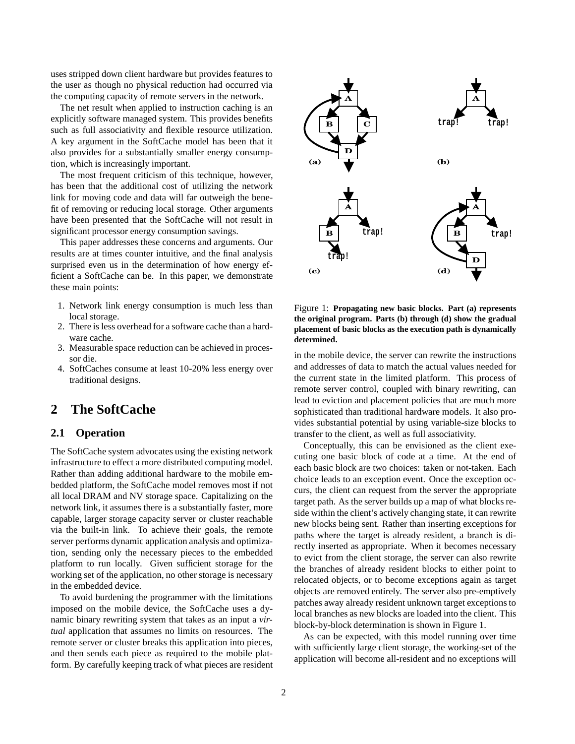uses stripped down client hardware but provides features to the user as though no physical reduction had occurred via the computing capacity of remote servers in the network.

The net result when applied to instruction caching is an explicitly software managed system. This provides benefits such as full associativity and flexible resource utilization. A key argument in the SoftCache model has been that it also provides for a substantially smaller energy consumption, which is increasingly important.

The most frequent criticism of this technique, however, has been that the additional cost of utilizing the network link for moving code and data will far outweigh the benefit of removing or reducing local storage. Other arguments have been presented that the SoftCache will not result in significant processor energy consumption savings.

This paper addresses these concerns and arguments. Our results are at times counter intuitive, and the final analysis surprised even us in the determination of how energy efficient a SoftCache can be. In this paper, we demonstrate these main points:

- 1. Network link energy consumption is much less than local storage.
- 2. There is less overhead for a software cache than a hardware cache.
- 3. Measurable space reduction can be achieved in processor die.
- 4. SoftCaches consume at least 10-20% less energy over traditional designs.

### **2 The SoftCache**

#### **2.1 Operation**

The SoftCache system advocates using the existing network infrastructure to effect a more distributed computing model. Rather than adding additional hardware to the mobile embedded platform, the SoftCache model removes most if not all local DRAM and NV storage space. Capitalizing on the network link, it assumes there is a substantially faster, more capable, larger storage capacity server or cluster reachable via the built-in link. To achieve their goals, the remote server performs dynamic application analysis and optimization, sending only the necessary pieces to the embedded platform to run locally. Given sufficient storage for the working set of the application, no other storage is necessary in the embedded device.

To avoid burdening the programmer with the limitations imposed on the mobile device, the SoftCache uses a dynamic binary rewriting system that takes as an input a *virtual* application that assumes no limits on resources. The remote server or cluster breaks this application into pieces, and then sends each piece as required to the mobile platform. By carefully keeping track of what pieces are resident



Figure 1: **Propagating new basic blocks. Part (a) represents the original program. Parts (b) through (d) show the gradual placement of basic blocks as the execution path is dynamically determined.**

in the mobile device, the server can rewrite the instructions and addresses of data to match the actual values needed for the current state in the limited platform. This process of remote server control, coupled with binary rewriting, can lead to eviction and placement policies that are much more sophisticated than traditional hardware models. It also provides substantial potential by using variable-size blocks to transfer to the client, as well as full associativity.

Conceptually, this can be envisioned as the client executing one basic block of code at a time. At the end of each basic block are two choices: taken or not-taken. Each choice leads to an exception event. Once the exception occurs, the client can request from the server the appropriate target path. As the server builds up a map of what blocks reside within the client's actively changing state, it can rewrite new blocks being sent. Rather than inserting exceptions for paths where the target is already resident, a branch is directly inserted as appropriate. When it becomes necessary to evict from the client storage, the server can also rewrite the branches of already resident blocks to either point to relocated objects, or to become exceptions again as target objects are removed entirely. The server also pre-emptively patches away already resident unknown target exceptions to local branches as new blocks are loaded into the client. This block-by-block determination is shown in Figure 1.

As can be expected, with this model running over time with sufficiently large client storage, the working-set of the application will become all-resident and no exceptions will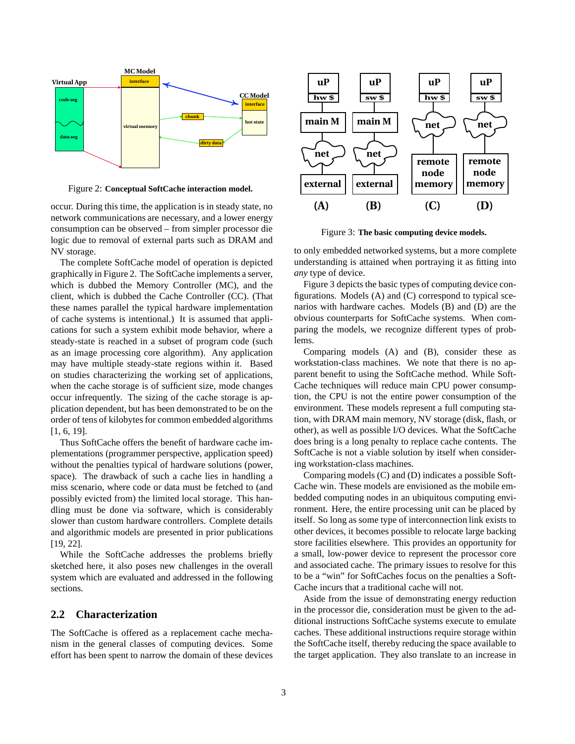

Figure 2: **Conceptual SoftCache interaction model.**

occur. During this time, the application is in steady state, no network communications are necessary, and a lower energy consumption can be observed – from simpler processor die logic due to removal of external parts such as DRAM and NV storage.

The complete SoftCache model of operation is depicted graphically in Figure 2. The SoftCache implements a server, which is dubbed the Memory Controller (MC), and the client, which is dubbed the Cache Controller (CC). (That these names parallel the typical hardware implementation of cache systems is intentional.) It is assumed that applications for such a system exhibit mode behavior, where a steady-state is reached in a subset of program code (such as an image processing core algorithm). Any application may have multiple steady-state regions within it. Based on studies characterizing the working set of applications, when the cache storage is of sufficient size, mode changes occur infrequently. The sizing of the cache storage is application dependent, but has been demonstrated to be on the order of tens of kilobytes for common embedded algorithms [1, 6, 19].

Thus SoftCache offers the benefit of hardware cache implementations (programmer perspective, application speed) without the penalties typical of hardware solutions (power, space). The drawback of such a cache lies in handling a miss scenario, where code or data must be fetched to (and possibly evicted from) the limited local storage. This handling must be done via software, which is considerably slower than custom hardware controllers. Complete details and algorithmic models are presented in prior publications [19, 22].

While the SoftCache addresses the problems briefly sketched here, it also poses new challenges in the overall system which are evaluated and addressed in the following sections.

#### **2.2 Characterization**

The SoftCache is offered as a replacement cache mechanism in the general classes of computing devices. Some effort has been spent to narrow the domain of these devices



Figure 3: **The basic computing device models.**

to only embedded networked systems, but a more complete understanding is attained when portraying it as fitting into *any* type of device.

Figure 3 depicts the basic types of computing device configurations. Models (A) and (C) correspond to typical scenarios with hardware caches. Models (B) and (D) are the obvious counterparts for SoftCache systems. When comparing the models, we recognize different types of problems.

Comparing models (A) and (B), consider these as workstation-class machines. We note that there is no apparent benefit to using the SoftCache method. While Soft-Cache techniques will reduce main CPU power consumption, the CPU is not the entire power consumption of the environment. These models represent a full computing station, with DRAM main memory, NV storage (disk, flash, or other), as well as possible I/O devices. What the SoftCache does bring is a long penalty to replace cache contents. The SoftCache is not a viable solution by itself when considering workstation-class machines.

Comparing models (C) and (D) indicates a possible Soft-Cache win. These models are envisioned as the mobile embedded computing nodes in an ubiquitous computing environment. Here, the entire processing unit can be placed by itself. So long as some type of interconnection link exists to other devices, it becomes possible to relocate large backing store facilities elsewhere. This provides an opportunity for a small, low-power device to represent the processor core and associated cache. The primary issues to resolve for this to be a "win" for SoftCaches focus on the penalties a Soft-Cache incurs that a traditional cache will not.

Aside from the issue of demonstrating energy reduction in the processor die, consideration must be given to the additional instructions SoftCache systems execute to emulate caches. These additional instructions require storage within the SoftCache itself, thereby reducing the space available to the target application. They also translate to an increase in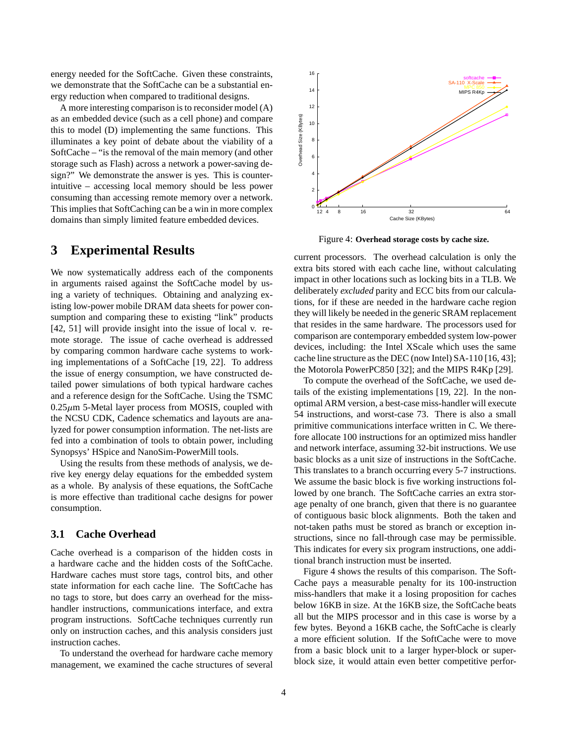energy needed for the SoftCache. Given these constraints, we demonstrate that the SoftCache can be a substantial energy reduction when compared to traditional designs.

A more interesting comparison is to reconsider model (A) as an embedded device (such as a cell phone) and compare this to model (D) implementing the same functions. This illuminates a key point of debate about the viability of a SoftCache – "is the removal of the main memory (and other storage such as Flash) across a network a power-saving design?" We demonstrate the answer is yes. This is counterintuitive – accessing local memory should be less power consuming than accessing remote memory over a network. This implies that SoftCaching can be a win in more complex domains than simply limited feature embedded devices.

### **3 Experimental Results**

We now systematically address each of the components in arguments raised against the SoftCache model by using a variety of techniques. Obtaining and analyzing existing low-power mobile DRAM data sheets for power consumption and comparing these to existing "link" products [42, 51] will provide insight into the issue of local v. remote storage. The issue of cache overhead is addressed by comparing common hardware cache systems to working implementations of a SoftCache [19, 22]. To address the issue of energy consumption, we have constructed detailed power simulations of both typical hardware caches and a reference design for the SoftCache. Using the TSMC  $0.25\mu$ m 5-Metal layer process from MOSIS, coupled with the NCSU CDK, Cadence schematics and layouts are analyzed for power consumption information. The net-lists are fed into a combination of tools to obtain power, including Synopsys' HSpice and NanoSim-PowerMill tools.

Using the results from these methods of analysis, we derive key energy delay equations for the embedded system as a whole. By analysis of these equations, the SoftCache is more effective than traditional cache designs for power consumption.

#### **3.1 Cache Overhead**

Cache overhead is a comparison of the hidden costs in a hardware cache and the hidden costs of the SoftCache. Hardware caches must store tags, control bits, and other state information for each cache line. The SoftCache has no tags to store, but does carry an overhead for the misshandler instructions, communications interface, and extra program instructions. SoftCache techniques currently run only on instruction caches, and this analysis considers just instruction caches.

To understand the overhead for hardware cache memory management, we examined the cache structures of several



Figure 4: **Overhead storage costs by cache size.**

current processors. The overhead calculation is only the extra bits stored with each cache line, without calculating impact in other locations such as locking bits in a TLB. We deliberately *excluded* parity and ECC bits from our calculations, for if these are needed in the hardware cache region they will likely be needed in the generic SRAM replacement that resides in the same hardware. The processors used for comparison are contemporary embedded system low-power devices, including: the Intel XScale which uses the same cache line structure as the DEC (now Intel) SA-110 [16, 43]; the Motorola PowerPC850 [32]; and the MIPS R4Kp [29].

To compute the overhead of the SoftCache, we used details of the existing implementations [19, 22]. In the nonoptimal ARM version, a best-case miss-handler will execute 54 instructions, and worst-case 73. There is also a small primitive communications interface written in C. We therefore allocate 100 instructions for an optimized miss handler and network interface, assuming 32-bit instructions. We use basic blocks as a unit size of instructions in the SoftCache. This translates to a branch occurring every 5-7 instructions. We assume the basic block is five working instructions followed by one branch. The SoftCache carries an extra storage penalty of one branch, given that there is no guarantee of contiguous basic block alignments. Both the taken and not-taken paths must be stored as branch or exception instructions, since no fall-through case may be permissible. This indicates for every six program instructions, one additional branch instruction must be inserted.

Figure 4 shows the results of this comparison. The Soft-Cache pays a measurable penalty for its 100-instruction miss-handlers that make it a losing proposition for caches below 16KB in size. At the 16KB size, the SoftCache beats all but the MIPS processor and in this case is worse by a few bytes. Beyond a 16KB cache, the SoftCache is clearly a more efficient solution. If the SoftCache were to move from a basic block unit to a larger hyper-block or superblock size, it would attain even better competitive perfor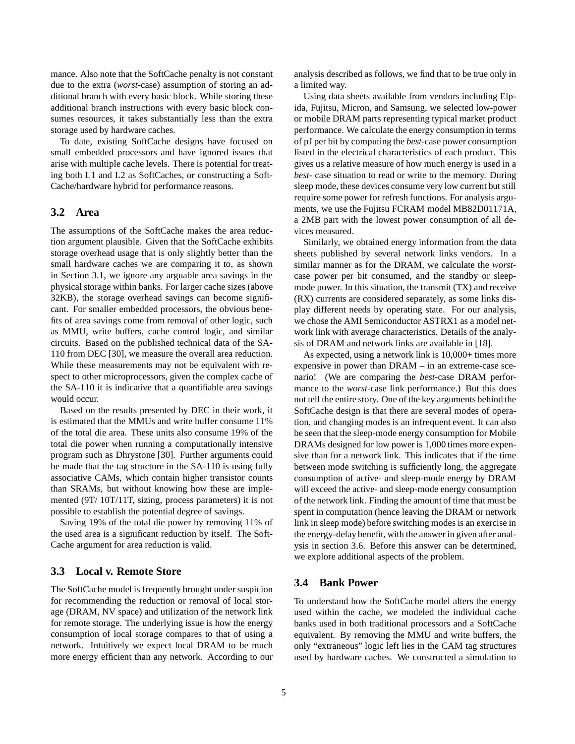mance. Also note that the SoftCache penalty is not constant due to the extra (*worst*-case) assumption of storing an additional branch with every basic block. While storing these additional branch instructions with every basic block consumes resources, it takes substantially less than the extra storage used by hardware caches.

To date, existing SoftCache designs have focused on small embedded processors and have ignored issues that arise with multiple cache levels. There is potential for treating both L1 and L2 as SoftCaches, or constructing a Soft-Cache/hardware hybrid for performance reasons.

#### **3.2 Area**

The assumptions of the SoftCache makes the area reduction argument plausible. Given that the SoftCache exhibits storage overhead usage that is only slightly better than the small hardware caches we are comparing it to, as shown in Section 3.1, we ignore any arguable area savings in the physical storage within banks. For larger cache sizes (above 32KB), the storage overhead savings can become significant. For smaller embedded processors, the obvious benefits of area savings come from removal of other logic, such as MMU, write buffers, cache control logic, and similar circuits. Based on the published technical data of the SA-110 from DEC [30], we measure the overall area reduction. While these measurements may not be equivalent with respect to other microprocessors, given the complex cache of the SA-110 it is indicative that a quantifiable area savings would occur.

Based on the results presented by DEC in their work, it is estimated that the MMUs and write buffer consume 11% of the total die area. These units also consume 19% of the total die power when running a computationally intensive program such as Dhrystone [30]. Further arguments could be made that the tag structure in the SA-110 is using fully associative CAMs, which contain higher transistor counts than SRAMs, but without knowing how these are implemented (9T/ 10T/11T, sizing, process parameters) it is not possible to establish the potential degree of savings.

Saving 19% of the total die power by removing 11% of the used area is a significant reduction by itself. The Soft-Cache argument for area reduction is valid.

#### **3.3 Local v. Remote Store**

The SoftCache model is frequently brought under suspicion for recommending the reduction or removal of local storage (DRAM, NV space) and utilization of the network link for remote storage. The underlying issue is how the energy consumption of local storage compares to that of using a network. Intuitively we expect local DRAM to be much more energy efficient than any network. According to our analysis described as follows, we find that to be true only in a limited way.

Using data sheets available from vendors including Elpida, Fujitsu, Micron, and Samsung, we selected low-power or mobile DRAM parts representing typical market product performance. We calculate the energy consumption in terms of pJ per bit by computing the *best*-case power consumption listed in the electrical characteristics of each product. This gives us a relative measure of how much energy is used in a *best*- case situation to read or write to the memory. During sleep mode, these devices consume very low current but still require some power for refresh functions. For analysis arguments, we use the Fujitsu FCRAM model MB82D01171A, a 2MB part with the lowest power consumption of all devices measured.

Similarly, we obtained energy information from the data sheets published by several network links vendors. In a similar manner as for the DRAM, we calculate the *worst*case power per bit consumed, and the standby or sleepmode power. In this situation, the transmit (TX) and receive (RX) currents are considered separately, as some links display different needs by operating state. For our analysis, we chose the AMI Semiconductor ASTRX1 as a model network link with average characteristics. Details of the analysis of DRAM and network links are available in [18].

As expected, using a network link is 10,000+ times more expensive in power than DRAM – in an extreme-case scenario! (We are comparing the *best*-case DRAM performance to the *worst*-case link performance.) But this does not tell the entire story. One of the key arguments behind the SoftCache design is that there are several modes of operation, and changing modes is an infrequent event. It can also be seen that the sleep-mode energy consumption for Mobile DRAMs designed for low power is 1,000 times more expensive than for a network link. This indicates that if the time between mode switching is sufficiently long, the aggregate consumption of active- and sleep-mode energy by DRAM will exceed the active- and sleep-mode energy consumption of the network link. Finding the amount of time that must be spent in computation (hence leaving the DRAM or network link in sleep mode) before switching modes is an exercise in the energy-delay benefit, with the answer in given after analysis in section 3.6. Before this answer can be determined, we explore additional aspects of the problem.

#### **3.4 Bank Power**

To understand how the SoftCache model alters the energy used within the cache, we modeled the individual cache banks used in both traditional processors and a SoftCache equivalent. By removing the MMU and write buffers, the only "extraneous" logic left lies in the CAM tag structures used by hardware caches. We constructed a simulation to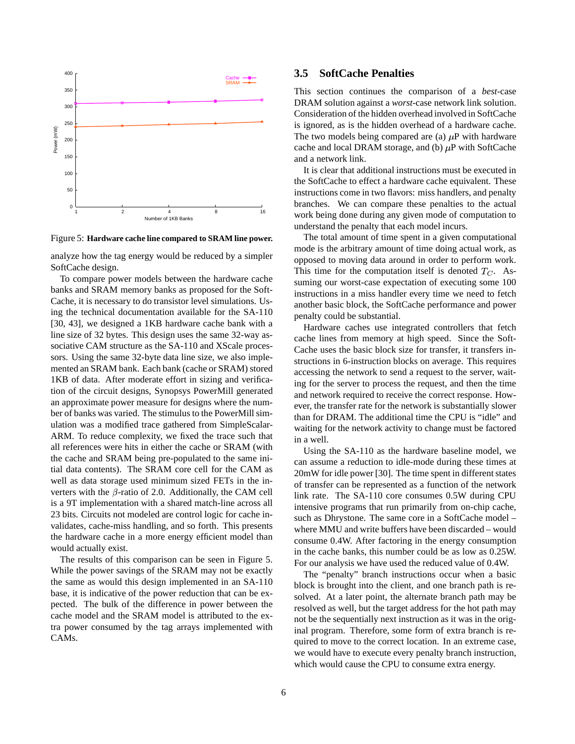

Figure 5: **Hardware cache line compared to SRAM line power.**

analyze how the tag energy would be reduced by a simpler SoftCache design.

To compare power models between the hardware cache banks and SRAM memory banks as proposed for the Soft-Cache, it is necessary to do transistor level simulations. Using the technical documentation available for the SA-110 [30, 43], we designed a 1KB hardware cache bank with a line size of 32 bytes. This design uses the same 32-way associative CAM structure as the SA-110 and XScale processors. Using the same 32-byte data line size, we also implemented an SRAM bank. Each bank (cache or SRAM) stored 1KB of data. After moderate effort in sizing and verification of the circuit designs, Synopsys PowerMill generated an approximate power measure for designs where the number of banks was varied. The stimulus to the PowerMill simulation was a modified trace gathered from SimpleScalar-ARM. To reduce complexity, we fixed the trace such that all references were hits in either the cache or SRAM (with the cache and SRAM being pre-populated to the same initial data contents). The SRAM core cell for the CAM as well as data storage used minimum sized FETs in the inverters with the  $\beta$ -ratio of 2.0. Additionally, the CAM cell is a 9T implementation with a shared match-line across all 23 bits. Circuits not modeled are control logic for cache invalidates, cache-miss handling, and so forth. This presents the hardware cache in a more energy efficient model than would actually exist.

The results of this comparison can be seen in Figure 5. While the power savings of the SRAM may not be exactly the same as would this design implemented in an SA-110 base, it is indicative of the power reduction that can be expected. The bulk of the difference in power between the cache model and the SRAM model is attributed to the extra power consumed by the tag arrays implemented with CAMs.

#### **3.5 SoftCache Penalties**

This section continues the comparison of a *best*-case DRAM solution against a *worst*-case network link solution. Consideration of the hidden overhead involved in SoftCache is ignored, as is the hidden overhead of a hardware cache. The two models being compared are (a)  $\mu$ P with hardware cache and local DRAM storage, and (b)  $\mu$ P with SoftCache and a network link.

It is clear that additional instructions must be executed in the SoftCache to effect a hardware cache equivalent. These instructions come in two flavors: miss handlers, and penalty branches. We can compare these penalties to the actual work being done during any given mode of computation to understand the penalty that each model incurs.

The total amount of time spent in a given computational mode is the arbitrary amount of time doing actual work, as opposed to moving data around in order to perform work. This time for the computation itself is denoted  $T_C$ . Assuming our worst-case expectation of executing some  $100$ instructions in a miss handler every time we need to fetch another basic block, the SoftCache performance and power penalty could be substantial.

Hardware caches use integrated controllers that fetch cache lines from memory at high speed. Since the Soft-Cache uses the basic block size for transfer, it transfers instructions in 6-instruction blocks on average. This requires accessing the network to send a request to the server, waiting for the server to process the request, and then the time and network required to receive the correct response. However, the transfer rate for the network is substantially slower than for DRAM. The additional time the CPU is "idle" and waiting for the network activity to change must be factored in a well.

Using the SA-110 as the hardware baseline model, we can assume a reduction to idle-mode during these times at 20mW for idle power [30]. The time spent in different states of transfer can be represented as a function of the network link rate. The SA-110 core consumes 0.5W during CPU intensive programs that run primarily from on-chip cache, such as Dhrystone. The same core in a SoftCache model – where MMU and write buffers have been discarded – would consume 0.4W. After factoring in the energy consumption in the cache banks, this number could be as low as 0.25W. For our analysis we have used the reduced value of 0.4W.

The "penalty" branch instructions occur when a basic block is brought into the client, and one branch path is resolved. At a later point, the alternate branch path may be resolved as well, but the target address for the hot path may not be the sequentially next instruction as it was in the original program. Therefore, some form of extra branch is required to move to the correct location. In an extreme case, we would have to execute every penalty branch instruction, which would cause the CPU to consume extra energy.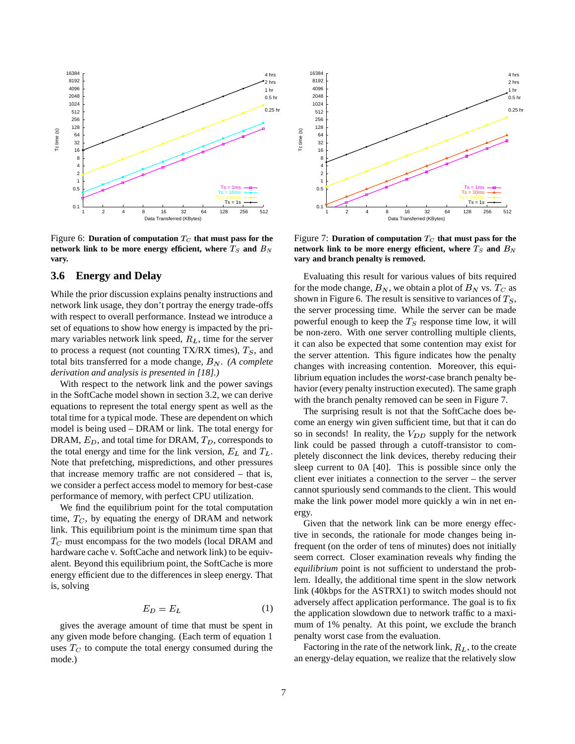

Figure 6: Duration of computation  $T_C$  that must pass for the **network** link to be more energy efficient, where  $T_S$  and  $B_N$  are two **vary.**

#### **3.6 Energy and Delay**

While the prior discussion explains penalty instructions and network link usage, they don't portray the energy trade-offs with respect to overall performance. Instead we introduce a set of equations to show how energy is impacted by the primary variables network link speed,  $R_L$ , time for the server to process a request (not counting TX/RX times),  $T_s$ , and total bits transferred for a mode change,  $B_N$ . (A complete *derivation and analysis is presented in [18].)*

With respect to the network link and the power savings in the SoftCache model shown in section 3.2, we can derive equations to represent the total energy spent as well as the total time for a typical mode. These are dependent on which model is being used – DRAM or link. The total energy for DRAM,  $E_D$ , and total time for DRAM,  $T_D$ , corresponds to the total energy and time for the link version,  $E_L$  and  $T_L$ . Note that prefetching, mispredictions, and other pressures that increase memory traffic are not considered – that is, we consider a perfect access model to memory for best-case performance of memory, with perfect CPU utilization.

We find the equilibrium point for the total computation time,  $T_C$ , by equating the energy of DRAM and network link. This equilibrium point is the minimum time span that  $T_C$  must encompass for the two models (local DRAM and hardware cache v. SoftCache and network link) to be equivalent. Beyond this equilibrium point, the SoftCache is more energy efficient due to the differences in sleep energy. That is, solving

$$
E_D = E_L \tag{1}
$$

gives the average amount of time that must be spent in any given mode before changing. (Each term of equation 1 uses  $T_C$  to compute the total energy consumed during the mode.)



Figure 7: Duration of computation  $T_C$  that must pass for the **network** link to be more energy efficient, where  $T_S$  and  $B_N$ **vary and branch penalty is removed.**

Evaluating this result for various values of bits required for the mode change,  $B_N$ , we obtain a plot of  $B_N$  vs.  $T_C$  as shown in Figure 6. The result is sensitive to variances of  $T_S$ , the server processing time. While the server can be made powerful enough to keep the  $T<sub>S</sub>$  response time low, it will be non-zero. With one server controlling multiple clients, it can also be expected that some contention may exist for the server attention. This figure indicates how the penalty changes with increasing contention. Moreover, this equilibrium equation includes the *worst*-case branch penalty behavior (every penalty instruction executed). The same graph with the branch penalty removed can be seen in Figure 7.

The surprising result is not that the SoftCache does become an energy win given sufficient time, but that it can do so in seconds! In reality, the  $V_{DD}$  supply for the network link could be passed through a cutoff-transistor to completely disconnect the link devices, thereby reducing their sleep current to 0A [40]. This is possible since only the client ever initiates a connection to the server – the server cannot spuriously send commands to the client. This would make the link power model more quickly a win in net energy.

Given that the network link can be more energy effective in seconds, the rationale for mode changes being infrequent (on the order of tens of minutes) does not initially seem correct. Closer examination reveals why finding the *equilibrium* point is not sufficient to understand the problem. Ideally, the additional time spent in the slow network link (40kbps for the ASTRX1) to switch modes should not adversely affect application performance. The goal is to fix the application slowdown due to network traffic to a maximum of 1% penalty. At this point, we exclude the branch penalty worst case from the evaluation.

Factoring in the rate of the network link,  $R_L$ , to the create an energy-delay equation, we realize that the relatively slow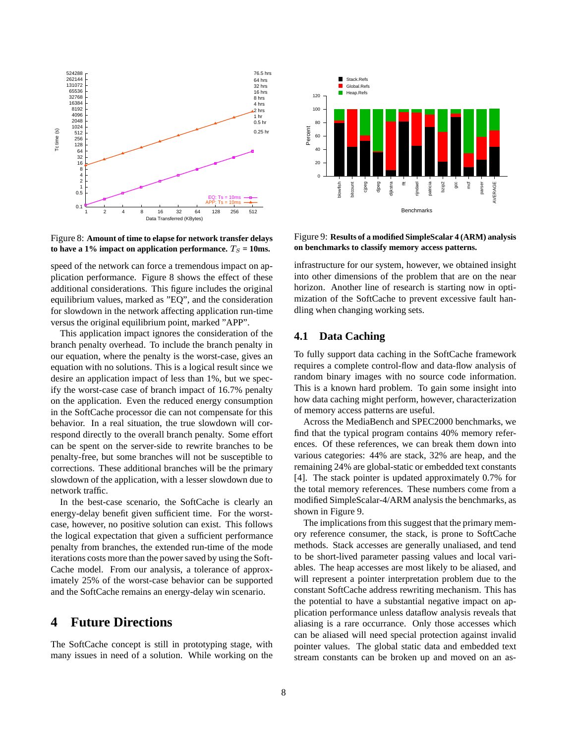

Figure 8: **Amount of time to elapse for network transfer delays to** have a 1% impact on application performance.  $T_S = 10$ ms.

speed of the network can force a tremendous impact on application performance. Figure 8 shows the effect of these additional considerations. This figure includes the original equilibrium values, marked as "EQ", and the consideration for slowdown in the network affecting application run-time versus the original equilibrium point, marked "APP".

This application impact ignores the consideration of the branch penalty overhead. To include the branch penalty in our equation, where the penalty is the worst-case, gives an equation with no solutions. This is a logical result since we desire an application impact of less than 1%, but we specify the worst-case case of branch impact of 16.7% penalty on the application. Even the reduced energy consumption in the SoftCache processor die can not compensate for this behavior. In a real situation, the true slowdown will correspond directly to the overall branch penalty. Some effort can be spent on the server-side to rewrite branches to be penalty-free, but some branches will not be susceptible to corrections. These additional branches will be the primary slowdown of the application, with a lesser slowdown due to network traffic.

In the best-case scenario, the SoftCache is clearly an energy-delay benefit given sufficient time. For the worstcase, however, no positive solution can exist. This follows the logical expectation that given a sufficient performance penalty from branches, the extended run-time of the mode iterations costs more than the power saved by using the Soft-Cache model. From our analysis, a tolerance of approximately 25% of the worst-case behavior can be supported and the SoftCache remains an energy-delay win scenario.

# **4 Future Directions**

The SoftCache concept is still in prototyping stage, with many issues in need of a solution. While working on the



Figure 9: **Results of a modified SimpleScalar 4 (ARM) analysis on benchmarks to classify memory access patterns.**

infrastructure for our system, however, we obtained insight into other dimensions of the problem that are on the near horizon. Another line of research is starting now in optimization of the SoftCache to prevent excessive fault handling when changing working sets.

#### **4.1 Data Caching**

To fully support data caching in the SoftCache framework requires a complete control-flow and data-flow analysis of random binary images with no source code information. This is a known hard problem. To gain some insight into how data caching might perform, however, characterization of memory access patterns are useful.

Across the MediaBench and SPEC2000 benchmarks, we find that the typical program contains 40% memory references. Of these references, we can break them down into various categories: 44% are stack, 32% are heap, and the remaining 24% are global-static or embedded text constants [4]. The stack pointer is updated approximately 0.7% for the total memory references. These numbers come from a modified SimpleScalar-4/ARM analysis the benchmarks, as shown in Figure 9.

The implications from this suggest that the primary memory reference consumer, the stack, is prone to SoftCache methods. Stack accesses are generally unaliased, and tend to be short-lived parameter passing values and local variables. The heap accesses are most likely to be aliased, and will represent a pointer interpretation problem due to the constant SoftCache address rewriting mechanism. This has the potential to have a substantial negative impact on application performance unless dataflow analysis reveals that aliasing is a rare occurrance. Only those accesses which can be aliased will need special protection against invalid pointer values. The global static data and embedded text stream constants can be broken up and moved on an as-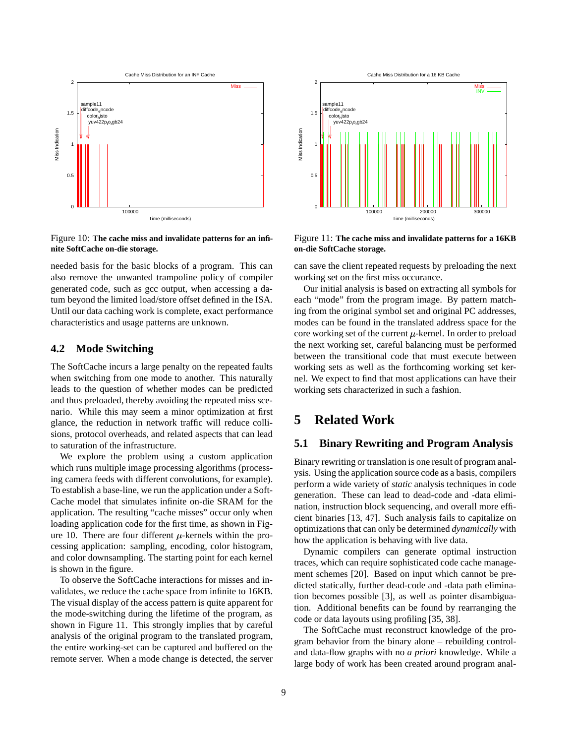

Figure 10: **The cache miss and invalidate patterns for an infinite SoftCache on-die storage.**

needed basis for the basic blocks of a program. This can also remove the unwanted trampoline policy of compiler generated code, such as gcc output, when accessing a datum beyond the limited load/store offset defined in the ISA. Until our data caching work is complete, exact performance characteristics and usage patterns are unknown.

#### **4.2 Mode Switching**

The SoftCache incurs a large penalty on the repeated faults when switching from one mode to another. This naturally leads to the question of whether modes can be predicted and thus preloaded, thereby avoiding the repeated miss scenario. While this may seem a minor optimization at first glance, the reduction in network traffic will reduce collisions, protocol overheads, and related aspects that can lead to saturation of the infrastructure.

We explore the problem using a custom application which runs multiple image processing algorithms (processing camera feeds with different convolutions, for example). To establish a base-line, we run the application under a Soft-Cache model that simulates infinite on-die SRAM for the application. The resulting "cache misses" occur only when loading application code for the first time, as shown in Figure 10. There are four different  $\mu$ -kernels within the processing application: sampling, encoding, color histogram, and color downsampling. The starting point for each kernel is shown in the figure.

To observe the SoftCache interactions for misses and invalidates, we reduce the cache space from infinite to 16KB. The visual display of the access pattern is quite apparent for the mode-switching during the lifetime of the program, as shown in Figure 11. This strongly implies that by careful analysis of the original program to the translated program, the entire working-set can be captured and buffered on the remote server. When a mode change is detected, the server



Figure 11: **The cache miss and invalidate patterns for a 16KB on-die SoftCache storage.**

can save the client repeated requests by preloading the next working set on the first miss occurance.

Our initial analysis is based on extracting all symbols for each "mode" from the program image. By pattern matching from the original symbol set and original PC addresses, modes can be found in the translated address space for the core working set of the current  $\mu$ -kernel. In order to preload the next working set, careful balancing must be performed between the transitional code that must execute between working sets as well as the forthcoming working set kernel. We expect to find that most applications can have their working sets characterized in such a fashion.

# **5 Related Work**

#### **5.1 Binary Rewriting and Program Analysis**

Binary rewriting or translation is one result of program analysis. Using the application source code as a basis, compilers perform a wide variety of *static* analysis techniques in code generation. These can lead to dead-code and -data elimination, instruction block sequencing, and overall more efficient binaries [13, 47]. Such analysis fails to capitalize on optimizations that can only be determined *dynamically* with how the application is behaving with live data.

Dynamic compilers can generate optimal instruction traces, which can require sophisticated code cache management schemes [20]. Based on input which cannot be predicted statically, further dead-code and -data path elimination becomes possible [3], as well as pointer disambiguation. Additional benefits can be found by rearranging the code or data layouts using profiling [35, 38].

The SoftCache must reconstruct knowledge of the program behavior from the binary alone – rebuilding controland data-flow graphs with no *a priori* knowledge. While a large body of work has been created around program anal-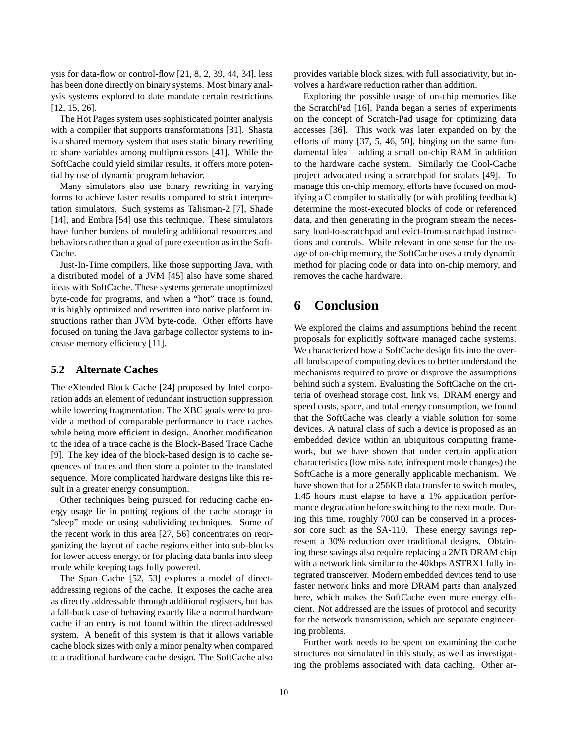ysis for data-flow or control-flow [21, 8, 2, 39, 44, 34], less has been done directly on binary systems. Most binary analysis systems explored to date mandate certain restrictions [12, 15, 26].

The Hot Pages system uses sophisticated pointer analysis with a compiler that supports transformations [31]. Shasta is a shared memory system that uses static binary rewriting to share variables among multiprocessors [41]. While the SoftCache could yield similar results, it offers more potential by use of dynamic program behavior.

Many simulators also use binary rewriting in varying forms to achieve faster results compared to strict interpretation simulators. Such systems as Talisman-2 [7], Shade [14], and Embra [54] use this technique. These simulators have further burdens of modeling additional resources and behaviors rather than a goal of pure execution as in the Soft-Cache.

Just-In-Time compilers, like those supporting Java, with a distributed model of a JVM [45] also have some shared ideas with SoftCache. These systems generate unoptimized byte-code for programs, and when a "hot" trace is found, it is highly optimized and rewritten into native platform instructions rather than JVM byte-code. Other efforts have focused on tuning the Java garbage collector systems to increase memory efficiency [11].

#### **5.2 Alternate Caches**

The eXtended Block Cache [24] proposed by Intel corporation adds an element of redundant instruction suppression while lowering fragmentation. The XBC goals were to provide a method of comparable performance to trace caches while being more efficient in design. Another modification to the idea of a trace cache is the Block-Based Trace Cache [9]. The key idea of the block-based design is to cache sequences of traces and then store a pointer to the translated sequence. More complicated hardware designs like this result in a greater energy consumption.

Other techniques being pursued for reducing cache energy usage lie in putting regions of the cache storage in "sleep" mode or using subdividing techniques. Some of the recent work in this area [27, 56] concentrates on reorganizing the layout of cache regions either into sub-blocks for lower access energy, or for placing data banks into sleep mode while keeping tags fully powered.

The Span Cache [52, 53] explores a model of directaddressing regions of the cache. It exposes the cache area as directly addressable through additional registers, but has a fall-back case of behaving exactly like a normal hardware cache if an entry is not found within the direct-addressed system. A benefit of this system is that it allows variable cache block sizes with only a minor penalty when compared to a traditional hardware cache design. The SoftCache also provides variable block sizes, with full associativity, but involves a hardware reduction rather than addition.

Exploring the possible usage of on-chip memories like the ScratchPad [16], Panda began a series of experiments on the concept of Scratch-Pad usage for optimizing data accesses [36]. This work was later expanded on by the efforts of many [37, 5, 46, 50], hinging on the same fundamental idea – adding a small on-chip RAM in addition to the hardware cache system. Similarly the Cool-Cache project advocated using a scratchpad for scalars [49]. To manage this on-chip memory, efforts have focused on modifying a C compiler to statically (or with profiling feedback) determine the most-executed blocks of code or referenced data, and then generating in the program stream the necessary load-to-scratchpad and evict-from-scratchpad instructions and controls. While relevant in one sense for the usage of on-chip memory, the SoftCache uses a truly dynamic method for placing code or data into on-chip memory, and removes the cache hardware.

# **6 Conclusion**

We explored the claims and assumptions behind the recent proposals for explicitly software managed cache systems. We characterized how a SoftCache design fits into the overall landscape of computing devices to better understand the mechanisms required to prove or disprove the assumptions behind such a system. Evaluating the SoftCache on the criteria of overhead storage cost, link vs. DRAM energy and speed costs, space, and total energy consumption, we found that the SoftCache was clearly a viable solution for some devices. A natural class of such a device is proposed as an embedded device within an ubiquitous computing framework, but we have shown that under certain application characteristics (low miss rate, infrequent mode changes) the SoftCache is a more generally applicable mechanism. We have shown that for a 256KB data transfer to switch modes, 1.45 hours must elapse to have a 1% application performance degradation before switching to the next mode. During this time, roughly 700J can be conserved in a processor core such as the SA-110. These energy savings represent a 30% reduction over traditional designs. Obtaining these savings also require replacing a 2MB DRAM chip with a network link similar to the 40kbps ASTRX1 fully integrated transceiver. Modern embedded devices tend to use faster network links and more DRAM parts than analyzed here, which makes the SoftCache even more energy efficient. Not addressed are the issues of protocol and security for the network transmission, which are separate engineering problems.

Further work needs to be spent on examining the cache structures not simulated in this study, as well as investigating the problems associated with data caching. Other ar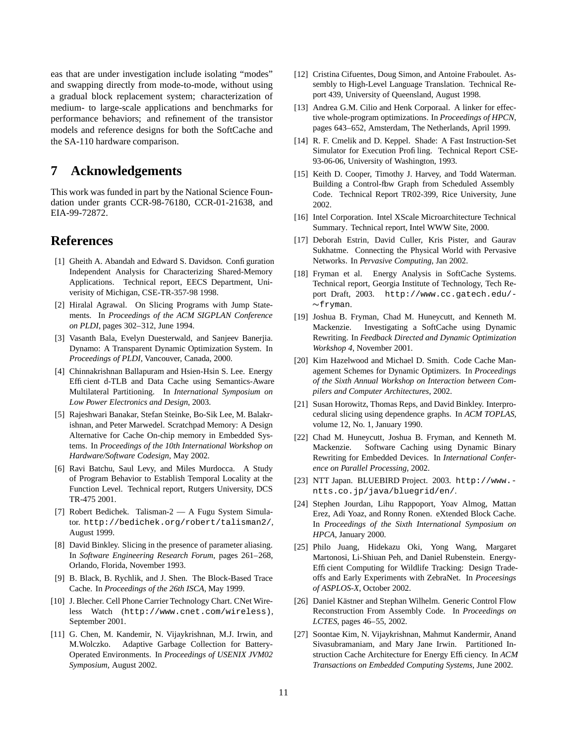eas that are under investigation include isolating "modes" and swapping directly from mode-to-mode, without using a gradual block replacement system; characterization of medium- to large-scale applications and benchmarks for performance behaviors; and refinement of the transistor models and reference designs for both the SoftCache and the SA-110 hardware comparison.

### **7 Acknowledgements**

This work was funded in part by the National Science Foundation under grants CCR-98-76180, CCR-01-21638, and EIA-99-72872.

### **References**

- [1] Gheith A. Abandah and Edward S. Davidson. Configuration Independent Analysis for Characterizing Shared-Memory Applications. Technical report, EECS Department, Univerisity of Michigan, CSE-TR-357-98 1998.
- [2] Hiralal Agrawal. On Slicing Programs with Jump Statements. In *Proceedings of the ACM SIGPLAN Conference on PLDI*, pages 302–312, June 1994.
- [3] Vasanth Bala, Evelyn Duesterwald, and Sanjeev Banerjia. Dynamo: A Transparent Dynamic Optimization System. In *Proceedings of PLDI*, Vancouver, Canada, 2000.
- [4] Chinnakrishnan Ballapuram and Hsien-Hsin S. Lee. Energy Efficient d-TLB and Data Cache using Semantics-Aware Multilateral Partitioning. In *International Symposium on Low Power Electronics and Design*, 2003.
- [5] Rajeshwari Banakar, Stefan Steinke, Bo-Sik Lee, M. Balakrishnan, and Peter Marwedel. Scratchpad Memory: A Design Alternative for Cache On-chip memory in Embedded Systems. In *Proceedings of the 10th International Workshop on Hardware/Software Codesign*, May 2002.
- [6] Ravi Batchu, Saul Levy, and Miles Murdocca. A Study of Program Behavior to Establish Temporal Locality at the Function Level. Technical report, Rutgers University, DCS TR-475 2001.
- [7] Robert Bedichek. Talisman-2 A Fugu System Simulator. http://bedichek.org/robert/talisman2/, August 1999.
- [8] David Binkley. Slicing in the presence of parameter aliasing. In *Software Engineering Research Forum*, pages 261–268, Orlando, Florida, November 1993.
- [9] B. Black, B. Rychlik, and J. Shen. The Block-Based Trace Cache. In *Proceedings of the 26th ISCA*, May 1999.
- [10] J. Blecher. Cell Phone Carrier Technology Chart. CNet Wireless Watch (http://www.cnet.com/wireless), September 2001.
- [11] G. Chen, M. Kandemir, N. Vijaykrishnan, M.J. Irwin, and M.Wolczko. Adaptive Garbage Collection for Battery-Operated Environments. In *Proceedings of USENIX JVM02 Symposium*, August 2002.
- [12] Cristina Cifuentes, Doug Simon, and Antoine Fraboulet. Assembly to High-Level Language Translation. Technical Report 439, University of Queensland, August 1998.
- [13] Andrea G.M. Cilio and Henk Corporaal. A linker for effective whole-program optimizations. In *Proceedings of HPCN*, pages 643–652, Amsterdam, The Netherlands, April 1999.
- [14] R. F. Cmelik and D. Keppel. Shade: A Fast Instruction-Set Simulator for Execution Profiling. Technical Report CSE-93-06-06, University of Washington, 1993.
- [15] Keith D. Cooper, Timothy J. Harvey, and Todd Waterman. Building a Control-fbw Graph from Scheduled Assembly Code. Technical Report TR02-399, Rice University, June 2002.
- [16] Intel Corporation. Intel XScale Microarchitecture Technical Summary. Technical report, Intel WWW Site, 2000.
- [17] Deborah Estrin, David Culler, Kris Pister, and Gaurav Sukhatme. Connecting the Physical World with Pervasive Networks. In *Pervasive Computing*, Jan 2002.
- [18] Fryman et al. Energy Analysis in SoftCache Systems. Technical report, Georgia Institute of Technology, Tech Report Draft, 2003. http://www.cc.gatech.edu/-  $\sim$ fryman.
- [19] Joshua B. Fryman, Chad M. Huneycutt, and Kenneth M. Mackenzie. Investigating a SoftCache using Dynamic Rewriting. In *Feedback Directed and Dynamic Optimization Workshop 4*, November 2001.
- [20] Kim Hazelwood and Michael D. Smith. Code Cache Management Schemes for Dynamic Optimizers. In *Proceedings of the Sixth Annual Workshop on Interaction between Compilers and Computer Architectures*, 2002.
- [21] Susan Horowitz, Thomas Reps, and David Binkley. Interprocedural slicing using dependence graphs. In *ACM TOPLAS*, volume 12, No. 1, January 1990.
- [22] Chad M. Huneycutt, Joshua B. Fryman, and Kenneth M. Mackenzie. Software Caching using Dynamic Binary Rewriting for Embedded Devices. In *International Conference on Parallel Processing*, 2002.
- [23] NTT Japan. BLUEBIRD Project. 2003. http://www. ntts.co.jp/java/bluegrid/en/.
- [24] Stephen Jourdan, Lihu Rappoport, Yoav Almog, Mattan Erez, Adi Yoaz, and Ronny Ronen. eXtended Block Cache. In *Proceedings of the Sixth International Symposium on HPCA*, January 2000.
- [25] Philo Juang, Hidekazu Oki, Yong Wang, Margaret Martonosi, Li-Shiuan Peh, and Daniel Rubenstein. Energy-Efficient Computing for Wildlife Tracking: Design Tradeoffs and Early Experiments with ZebraNet. In *Proceesings of ASPLOS-X*, October 2002.
- [26] Daniel Kästner and Stephan Wilhelm. Generic Control Flow Reconstruction From Assembly Code. In *Proceedings on LCTES*, pages 46–55, 2002.
- [27] Soontae Kim, N. Vijaykrishnan, Mahmut Kandermir, Anand Sivasubramaniam, and Mary Jane Irwin. Partitioned Instruction Cache Architecture for Energy Efficiency. In  $ACM$ *Transactions on Embedded Computing Systems*, June 2002.